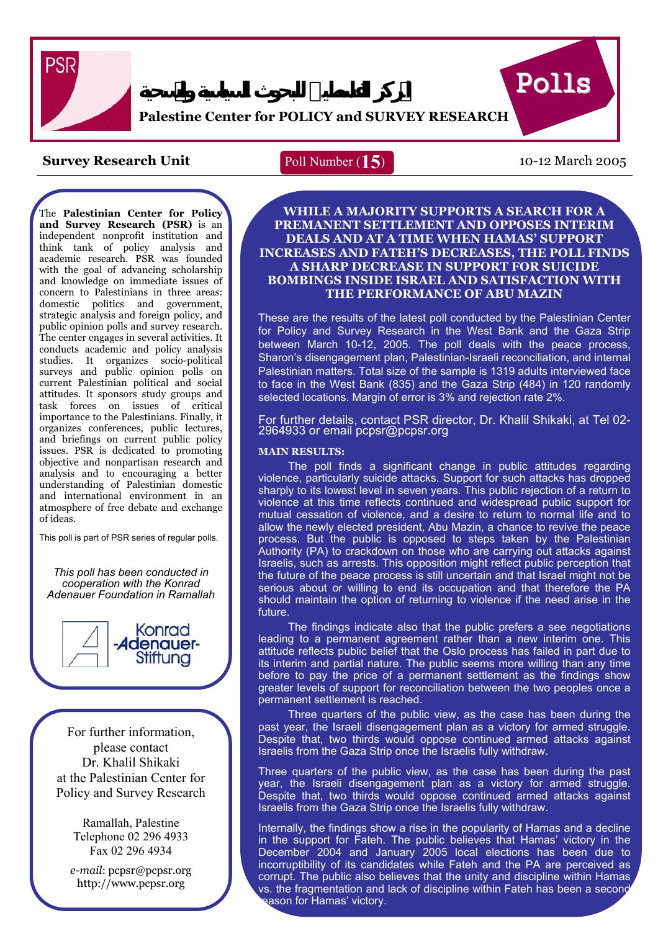

# **Palestine Center for POLICY and SURVEY RESEARCH**

## **Survey Research Unit** Poll Number (15) 10-12 March 2005

# Poll Number (**15**)

Polls

The **Palestinian Center for Policy and Survey Research (PSR)** is an independent nonprofit institution and think tank of policy analysis and academic research. PSR was founded with the goal of advancing scholarship and knowledge on immediate issues of concern to Palestinians in three areas: domestic politics and government, strategic analysis and foreign policy, and public opinion polls and survey research. The center engages in several activities. It conducts academic and policy analysis studies. It organizes socio-political surveys and public opinion polls on current Palestinian political and social attitudes. It sponsors study groups and task forces on issues of critical importance to the Palestinians. Finally, it organizes conferences, public lectures, and briefings on current public policy issues. PSR is dedicated to promoting objective and nonpartisan research and analysis and to encouraging a better understanding of Palestinian domestic and international environment in an atmosphere of free debate and exchange of ideas.

This poll is part of PSR series of regular polls.

I

*This poll has been conducted in cooperation with the Konrad Adenauer Foundation in Ramallah*



For further information, please contact Dr. Khalil Shikaki at the Palestinian Center for Policy and Survey Research

> Ramallah, Palestine Telephone 02 296 4933 Fax 02 296 4934

*e-mail*: pcpsr@pcpsr.org http://www.pcpsr.org

### **WHILE A MAJORITY SUPPORTS A SEARCH FOR A PREMANENT SETTLEMENT AND OPPOSES INTERIM DEALS AND AT A TIME WHEN HAMAS' SUPPORT INCREASES AND FATEH'S DECREASES, THE POLL FINDS A SHARP DECREASE IN SUPPORT FOR SUICIDE BOMBINGS INSIDE ISRAEL AND SATISFACTION WITH THE PERFORMANCE OF ABU MAZIN**

These are the results of the latest poll conducted by the Palestinian Center for Policy and Survey Research in the West Bank and the Gaza Strip between March 10-12, 2005. The poll deals with the peace process, Sharon's disengagement plan, Palestinian-Israeli reconciliation, and internal Palestinian matters. Total size of the sample is 1319 adults interviewed face to face in the West Bank (835) and the Gaza Strip (484) in 120 randomly selected locations. Margin of error is 3% and rejection rate 2%.

For further details, contact PSR director, Dr. Khalil Shikaki, at Tel 02- 2964933 or email pcpsr@pcpsr.org

### **MAIN RESULTS:**

The poll finds a significant change in public attitudes regarding violence, particularly suicide attacks. Support for such attacks has dropped sharply to its lowest level in seven years. This public rejection of a return to violence at this time reflects continued and widespread public support for mutual cessation of violence, and a desire to return to normal life and to allow the newly elected president, Abu Mazin, a chance to revive the peace process. But the public is opposed to steps taken by the Palestinian Authority (PA) to crackdown on those who are carrying out attacks against Israelis, such as arrests. This opposition might reflect public perception that the future of the peace process is still uncertain and that Israel might not be serious about or willing to end its occupation and that therefore the PA should maintain the option of returning to violence if the need arise in the future.

The findings indicate also that the public prefers a see negotiations leading to a permanent agreement rather than a new interim one. This attitude reflects public belief that the Oslo process has failed in part due to its interim and partial nature. The public seems more willing than any time before to pay the price of a permanent settlement as the findings show greater levels of support for reconciliation between the two peoples once a permanent settlement is reached.

Three quarters of the public view, as the case has been during the past year, the Israeli disengagement plan as a victory for armed struggle. Despite that, two thirds would oppose continued armed attacks against Israelis from the Gaza Strip once the Israelis fully withdraw.

Three quarters of the public view, as the case has been during the past year, the Israeli disengagement plan as a victory for armed struggle. Despite that, two thirds would oppose continued armed attacks against Israelis from the Gaza Strip once the Israelis fully withdraw.

Internally, the findings show a rise in the popularity of Hamas and a decline in the support for Fateh. The public believes that Hamas' victory in the December 2004 and January 2005 local elections has been due to incorruptibility of its candidates while Fateh and the PA are perceived as corrupt. The public also believes that the unity and discipline within Hamas vs. the fragmentation and lack of discipline within Fateh has been a second ason for Hamas' victory.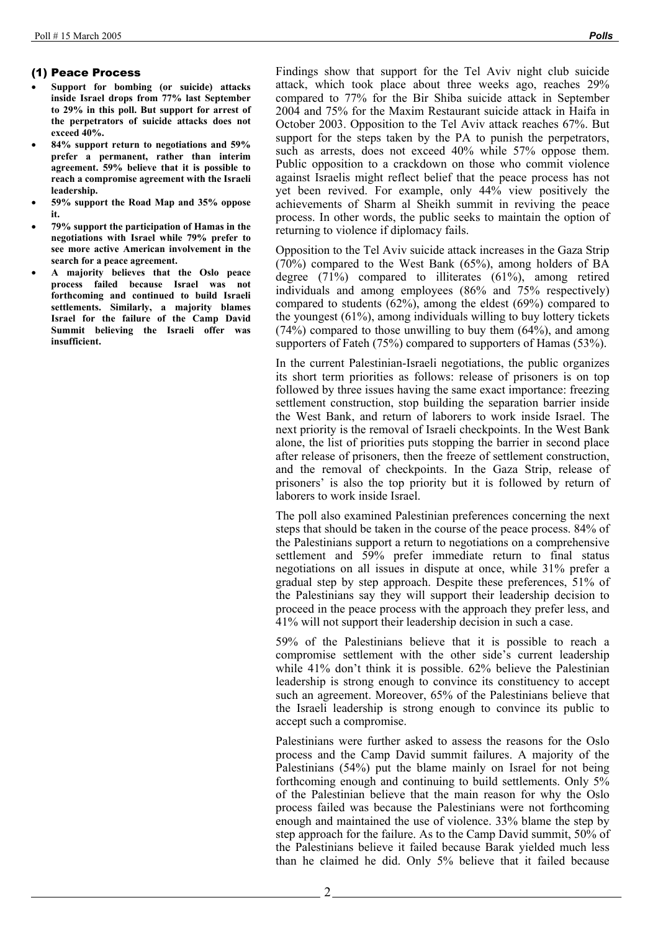### (1) Peace Process

- **Support for bombing (or suicide) attacks inside Israel drops from 77% last September to 29% in this poll. But support for arrest of the perpetrators of suicide attacks does not exceed 40%.**
- **84% support return to negotiations and 59% prefer a permanent, rather than interim agreement. 59% believe that it is possible to reach a compromise agreement with the Israeli leadership.**
- **59% support the Road Map and 35% oppose it.**
- **79% support the participation of Hamas in the negotiations with Israel while 79% prefer to see more active American involvement in the search for a peace agreement.**
- **A majority believes that the Oslo peace process failed because Israel was not forthcoming and continued to build Israeli settlements. Similarly, a majority blames Israel for the failure of the Camp David Summit believing the Israeli offer was insufficient.**

Findings show that support for the Tel Aviv night club suicide attack, which took place about three weeks ago, reaches 29% compared to 77% for the Bir Shiba suicide attack in September 2004 and 75% for the Maxim Restaurant suicide attack in Haifa in October 2003. Opposition to the Tel Aviv attack reaches 67%. But support for the steps taken by the PA to punish the perpetrators, such as arrests, does not exceed 40% while 57% oppose them. Public opposition to a crackdown on those who commit violence against Israelis might reflect belief that the peace process has not yet been revived. For example, only 44% view positively the achievements of Sharm al Sheikh summit in reviving the peace process. In other words, the public seeks to maintain the option of returning to violence if diplomacy fails.

Opposition to the Tel Aviv suicide attack increases in the Gaza Strip (70%) compared to the West Bank (65%), among holders of BA degree (71%) compared to illiterates (61%), among retired individuals and among employees (86% and 75% respectively) compared to students (62%), among the eldest (69%) compared to the youngest (61%), among individuals willing to buy lottery tickets  $(74%)$  compared to those unwilling to buy them  $(64%)$ , and among supporters of Fateh (75%) compared to supporters of Hamas (53%).

In the current Palestinian-Israeli negotiations, the public organizes its short term priorities as follows: release of prisoners is on top followed by three issues having the same exact importance: freezing settlement construction, stop building the separation barrier inside the West Bank, and return of laborers to work inside Israel. The next priority is the removal of Israeli checkpoints. In the West Bank alone, the list of priorities puts stopping the barrier in second place after release of prisoners, then the freeze of settlement construction, and the removal of checkpoints. In the Gaza Strip, release of prisoners' is also the top priority but it is followed by return of laborers to work inside Israel.

The poll also examined Palestinian preferences concerning the next steps that should be taken in the course of the peace process. 84% of the Palestinians support a return to negotiations on a comprehensive settlement and 59% prefer immediate return to final status negotiations on all issues in dispute at once, while 31% prefer a gradual step by step approach. Despite these preferences, 51% of the Palestinians say they will support their leadership decision to proceed in the peace process with the approach they prefer less, and 41% will not support their leadership decision in such a case.

59% of the Palestinians believe that it is possible to reach a compromise settlement with the other side's current leadership while 41% don't think it is possible. 62% believe the Palestinian leadership is strong enough to convince its constituency to accept such an agreement. Moreover, 65% of the Palestinians believe that the Israeli leadership is strong enough to convince its public to accept such a compromise.

Palestinians were further asked to assess the reasons for the Oslo process and the Camp David summit failures. A majority of the Palestinians (54%) put the blame mainly on Israel for not being forthcoming enough and continuing to build settlements. Only 5% of the Palestinian believe that the main reason for why the Oslo process failed was because the Palestinians were not forthcoming enough and maintained the use of violence. 33% blame the step by step approach for the failure. As to the Camp David summit, 50% of the Palestinians believe it failed because Barak yielded much less than he claimed he did. Only 5% believe that it failed because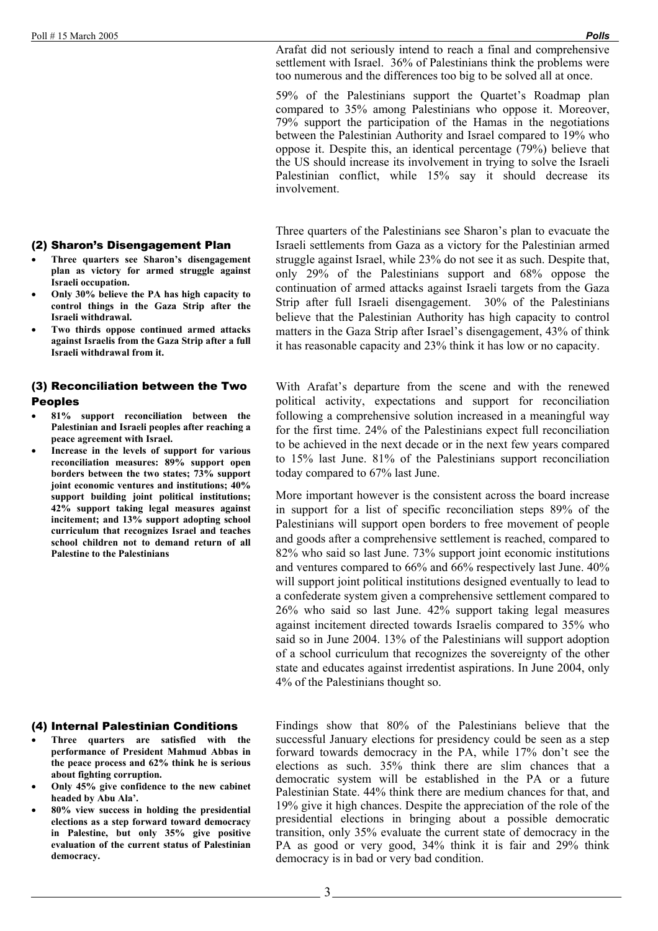Arafat did not seriously intend to reach a final and comprehensive settlement with Israel. 36% of Palestinians think the problems were too numerous and the differences too big to be solved all at once.

59% of the Palestinians support the Quartet's Roadmap plan compared to 35% among Palestinians who oppose it. Moreover, 79% support the participation of the Hamas in the negotiations between the Palestinian Authority and Israel compared to 19% who oppose it. Despite this, an identical percentage (79%) believe that the US should increase its involvement in trying to solve the Israeli Palestinian conflict, while 15% say it should decrease its involvement.

Three quarters of the Palestinians see Sharon's plan to evacuate the Israeli settlements from Gaza as a victory for the Palestinian armed struggle against Israel, while 23% do not see it as such. Despite that, only 29% of the Palestinians support and 68% oppose the continuation of armed attacks against Israeli targets from the Gaza Strip after full Israeli disengagement. 30% of the Palestinians believe that the Palestinian Authority has high capacity to control matters in the Gaza Strip after Israel's disengagement, 43% of think it has reasonable capacity and 23% think it has low or no capacity.

With Arafat's departure from the scene and with the renewed political activity, expectations and support for reconciliation following a comprehensive solution increased in a meaningful way for the first time. 24% of the Palestinians expect full reconciliation to be achieved in the next decade or in the next few years compared to 15% last June. 81% of the Palestinians support reconciliation today compared to 67% last June.

More important however is the consistent across the board increase in support for a list of specific reconciliation steps 89% of the Palestinians will support open borders to free movement of people and goods after a comprehensive settlement is reached, compared to 82% who said so last June. 73% support joint economic institutions and ventures compared to 66% and 66% respectively last June. 40% will support joint political institutions designed eventually to lead to a confederate system given a comprehensive settlement compared to 26% who said so last June. 42% support taking legal measures against incitement directed towards Israelis compared to 35% who said so in June 2004. 13% of the Palestinians will support adoption of a school curriculum that recognizes the sovereignty of the other state and educates against irredentist aspirations. In June 2004, only 4% of the Palestinians thought so.

Findings show that 80% of the Palestinians believe that the successful January elections for presidency could be seen as a step forward towards democracy in the PA, while 17% don't see the elections as such. 35% think there are slim chances that a democratic system will be established in the PA or a future Palestinian State. 44% think there are medium chances for that, and 19% give it high chances. Despite the appreciation of the role of the presidential elections in bringing about a possible democratic transition, only 35% evaluate the current state of democracy in the PA as good or very good, 34% think it is fair and 29% think democracy is in bad or very bad condition.

### (2) Sharon's Disengagement Plan

- **Three quarters see Sharon's disengagement plan as victory for armed struggle against Israeli occupation.**
- **Only 30% believe the PA has high capacity to control things in the Gaza Strip after the Israeli withdrawal.**
- **Two thirds oppose continued armed attacks against Israelis from the Gaza Strip after a full Israeli withdrawal from it.**

### (3) Reconciliation between the Two Peoples

- **81% support reconciliation between the Palestinian and Israeli peoples after reaching a peace agreement with Israel.**
- **Increase in the levels of support for various reconciliation measures: 89% support open borders between the two states; 73% support joint economic ventures and institutions; 40% support building joint political institutions; 42% support taking legal measures against incitement; and 13% support adopting school curriculum that recognizes Israel and teaches school children not to demand return of all Palestine to the Palestinians**

### (4) Internal Palestinian Conditions

- **Three quarters are satisfied with the performance of President Mahmud Abbas in the peace process and 62% think he is serious about fighting corruption.**
- **Only 45% give confidence to the new cabinet headed by Abu Ala'.**
- **80% view success in holding the presidential elections as a step forward toward democracy in Palestine, but only 35% give positive evaluation of the current status of Palestinian democracy.**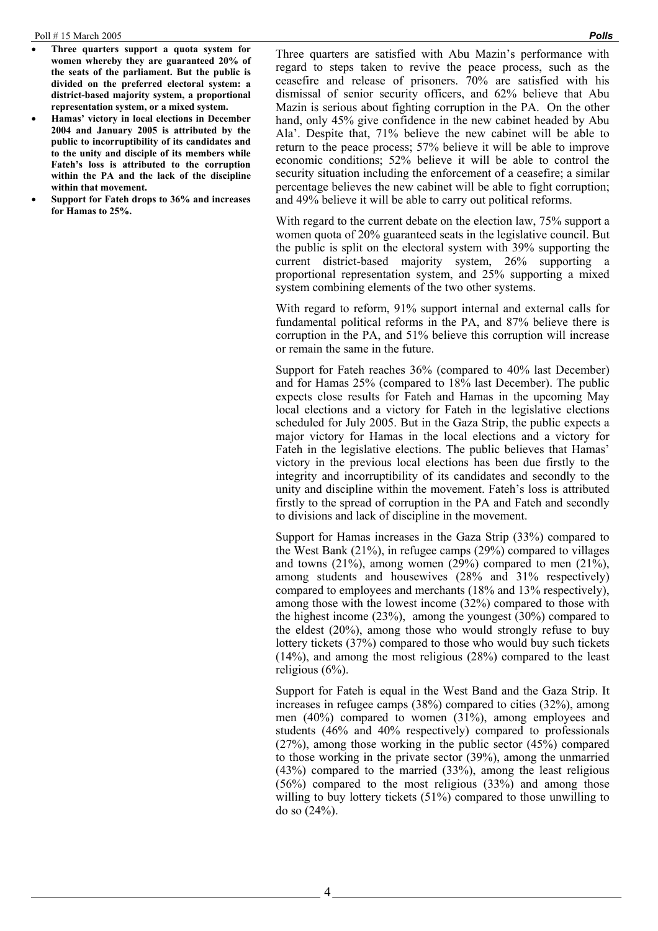- **Three quarters support a quota system for women whereby they are guaranteed 20% of the seats of the parliament. But the public is divided on the preferred electoral system: a district-based majority system, a proportional representation system, or a mixed system.**
- **Hamas' victory in local elections in December 2004 and January 2005 is attributed by the public to incorruptibility of its candidates and to the unity and disciple of its members while Fateh's loss is attributed to the corruption within the PA and the lack of the discipline within that movement.**
- **Support for Fateh drops to 36% and increases for Hamas to 25%.**

Three quarters are satisfied with Abu Mazin's performance with regard to steps taken to revive the peace process, such as the ceasefire and release of prisoners. 70% are satisfied with his dismissal of senior security officers, and 62% believe that Abu Mazin is serious about fighting corruption in the PA. On the other hand, only 45% give confidence in the new cabinet headed by Abu Ala'. Despite that, 71% believe the new cabinet will be able to return to the peace process; 57% believe it will be able to improve economic conditions; 52% believe it will be able to control the security situation including the enforcement of a ceasefire; a similar percentage believes the new cabinet will be able to fight corruption; and 49% believe it will be able to carry out political reforms.

With regard to the current debate on the election law, 75% support a women quota of 20% guaranteed seats in the legislative council. But the public is split on the electoral system with 39% supporting the current district-based majority system, 26% supporting a proportional representation system, and 25% supporting a mixed system combining elements of the two other systems.

With regard to reform, 91% support internal and external calls for fundamental political reforms in the PA, and 87% believe there is corruption in the PA, and 51% believe this corruption will increase or remain the same in the future.

Support for Fateh reaches 36% (compared to 40% last December) and for Hamas 25% (compared to 18% last December). The public expects close results for Fateh and Hamas in the upcoming May local elections and a victory for Fateh in the legislative elections scheduled for July 2005. But in the Gaza Strip, the public expects a major victory for Hamas in the local elections and a victory for Fateh in the legislative elections. The public believes that Hamas' victory in the previous local elections has been due firstly to the integrity and incorruptibility of its candidates and secondly to the unity and discipline within the movement. Fateh's loss is attributed firstly to the spread of corruption in the PA and Fateh and secondly to divisions and lack of discipline in the movement.

Support for Hamas increases in the Gaza Strip (33%) compared to the West Bank (21%), in refugee camps (29%) compared to villages and towns  $(21\%)$ , among women  $(29\%)$  compared to men  $(21\%)$ , among students and housewives (28% and 31% respectively) compared to employees and merchants (18% and 13% respectively), among those with the lowest income (32%) compared to those with the highest income (23%), among the youngest (30%) compared to the eldest (20%), among those who would strongly refuse to buy lottery tickets (37%) compared to those who would buy such tickets (14%), and among the most religious (28%) compared to the least religious (6%).

Support for Fateh is equal in the West Band and the Gaza Strip. It increases in refugee camps (38%) compared to cities (32%), among men (40%) compared to women (31%), among employees and students (46% and 40% respectively) compared to professionals (27%), among those working in the public sector (45%) compared to those working in the private sector (39%), among the unmarried (43%) compared to the married (33%), among the least religious (56%) compared to the most religious (33%) and among those willing to buy lottery tickets (51%) compared to those unwilling to do so (24%).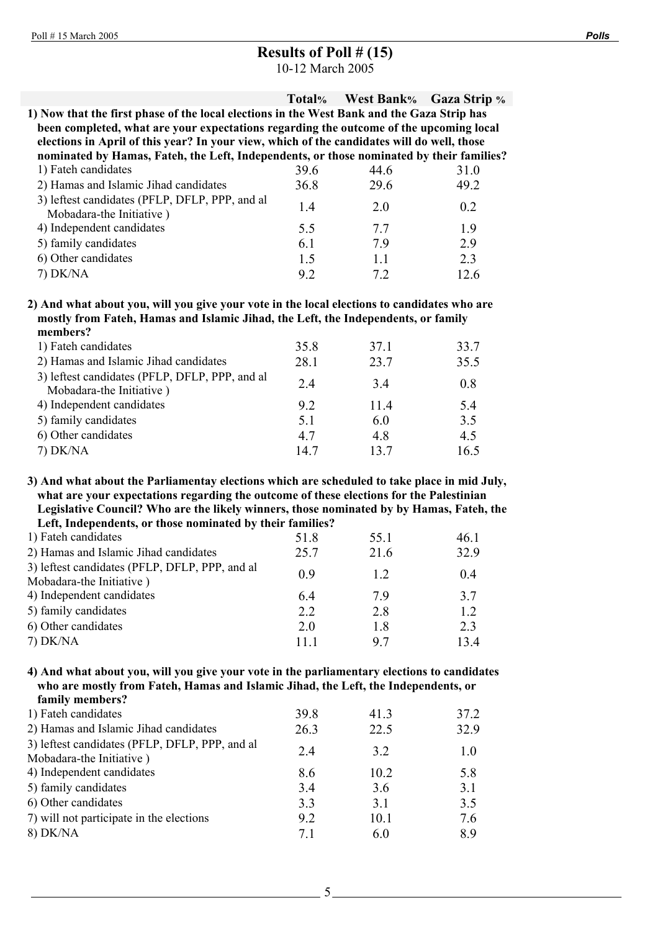# **Results of Poll # (15)**

10-12 March 2005

|                                                                                                                                                                                              | Total% | <b>West Bank%</b> | <b>Gaza Strip</b> % |
|----------------------------------------------------------------------------------------------------------------------------------------------------------------------------------------------|--------|-------------------|---------------------|
| 1) Now that the first phase of the local elections in the West Bank and the Gaza Strip has                                                                                                   |        |                   |                     |
| been completed, what are your expectations regarding the outcome of the upcoming local                                                                                                       |        |                   |                     |
| elections in April of this year? In your view, which of the candidates will do well, those                                                                                                   |        |                   |                     |
| nominated by Hamas, Fateh, the Left, Independents, or those nominated by their families?                                                                                                     |        |                   |                     |
| 1) Fateh candidates                                                                                                                                                                          | 39.6   | 44.6              | 31.0                |
| 2) Hamas and Islamic Jihad candidates                                                                                                                                                        | 36.8   | 29.6              | 49.2                |
| 3) leftest candidates (PFLP, DFLP, PPP, and al<br>Mobadara-the Initiative)                                                                                                                   | 1.4    | 2.0               | 0.2                 |
| 4) Independent candidates                                                                                                                                                                    | 5.5    | 7.7               | 1.9                 |
| 5) family candidates                                                                                                                                                                         | 6.1    | 7.9               | 2.9                 |
| 6) Other candidates                                                                                                                                                                          | 1.5    | 1.1               | 2.3                 |
| 7) DK/NA                                                                                                                                                                                     | 9.2    | 7.2               | 12.6                |
| 2) And what about you, will you give your vote in the local elections to candidates who are<br>mostly from Fateh, Hamas and Islamic Jihad, the Left, the Independents, or family<br>members? |        |                   |                     |
| 1) Fateh candidates                                                                                                                                                                          | 35.8   | 37.1              | 33.7                |
| 2) Hamas and Islamic Jihad candidates                                                                                                                                                        | 28.1   | 23.7              | 35.5                |
| 3) leftest candidates (PFLP, DFLP, PPP, and all<br>Mobadara-the Initiative)                                                                                                                  | 2.4    | 3.4               | 0.8                 |
| 4) Independent candidates                                                                                                                                                                    | 9.2    | 11.4              | 5.4                 |
| 5) family candidates                                                                                                                                                                         | 5.1    | 6.0               | 3.5                 |

**3) And what about the Parliamentay elections which are scheduled to take place in mid July, what are your expectations regarding the outcome of these elections for the Palestinian Legislative Council? Who are the likely winners, those nominated by by Hamas, Fateh, the Left, Independents, or those nominated by their families?** 

6) Other candidates 4.7 4.8 4.5 7) DK/NA 14.7 13.7 16.5

| 1) Fateh candidates                                                        | 51.8 | 55.1 | 46.1 |
|----------------------------------------------------------------------------|------|------|------|
| 2) Hamas and Islamic Jihad candidates                                      | 25.7 | 21.6 | 32.9 |
| 3) leftest candidates (PFLP, DFLP, PPP, and al<br>Mobadara-the Initiative) | 09   | 12   | 0.4  |
| 4) Independent candidates                                                  | 64   | 79   | 3.7  |
| 5) family candidates                                                       | 2.2  | 2.8  | 1.2  |
| 6) Other candidates                                                        | 2.0  | 1.8  | 2.3  |
| $7)$ DK/NA                                                                 | 11 1 | 97   | 134  |
|                                                                            |      |      |      |

### **4) And what about you, will you give your vote in the parliamentary elections to candidates who are mostly from Fateh, Hamas and Islamic Jihad, the Left, the Independents, or family members?**

| танно піснівсі з                                |      |      |      |
|-------------------------------------------------|------|------|------|
| 1) Fateh candidates                             | 39.8 | 41.3 | 37.2 |
| 2) Hamas and Islamic Jihad candidates           | 26.3 | 22.5 | 32.9 |
| 3) leftest candidates (PFLP, DFLP, PPP, and all | 2.4  | 3.2  | 1.0  |
| Mobadara-the Initiative)                        |      |      |      |
| 4) Independent candidates                       | 8.6  | 10.2 | 5.8  |
| 5) family candidates                            | 3.4  | 3.6  | 3.1  |
| 6) Other candidates                             | 3.3  | 3.1  | 3.5  |
| 7) will not participate in the elections        | 9.2  | 10.1 | 7.6  |
| 8) DK/NA                                        | 7.1  | 6.0  | 89   |
|                                                 |      |      |      |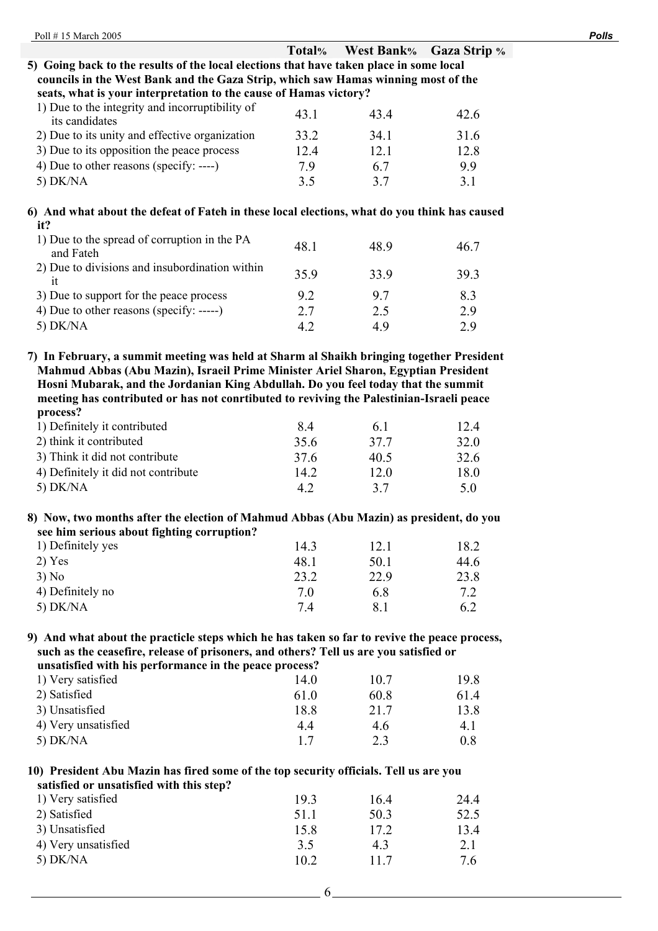| Poll #15 March 2005                                                                                                                                                                                                                                                            |        |                   |                     | <b>Polls</b> |
|--------------------------------------------------------------------------------------------------------------------------------------------------------------------------------------------------------------------------------------------------------------------------------|--------|-------------------|---------------------|--------------|
|                                                                                                                                                                                                                                                                                | Total% | <b>West Bank%</b> | <b>Gaza Strip %</b> |              |
| 5) Going back to the results of the local elections that have taken place in some local                                                                                                                                                                                        |        |                   |                     |              |
| councils in the West Bank and the Gaza Strip, which saw Hamas winning most of the                                                                                                                                                                                              |        |                   |                     |              |
| seats, what is your interpretation to the cause of Hamas victory?                                                                                                                                                                                                              |        |                   |                     |              |
| 1) Due to the integrity and incorruptibility of<br>its candidates                                                                                                                                                                                                              | 43.1   | 43.4              | 42.6                |              |
| 2) Due to its unity and effective organization                                                                                                                                                                                                                                 | 33.2   | 34.1              | 31.6                |              |
| 3) Due to its opposition the peace process                                                                                                                                                                                                                                     | 12.4   | 12.1              | 12.8                |              |
| 4) Due to other reasons (specify: ----)                                                                                                                                                                                                                                        | 7.9    | 6.7               | 9.9                 |              |
| 5) DK/NA                                                                                                                                                                                                                                                                       | 3.5    | 3.7               | 3.1                 |              |
| 6) And what about the defeat of Fateh in these local elections, what do you think has caused                                                                                                                                                                                   |        |                   |                     |              |
| it?                                                                                                                                                                                                                                                                            |        |                   |                     |              |
| 1) Due to the spread of corruption in the PA<br>and Fateh                                                                                                                                                                                                                      | 48.1   | 48.9              | 46.7                |              |
| 2) Due to divisions and insubordination within<br>it                                                                                                                                                                                                                           | 35.9   | 33.9              | 39.3                |              |
| 3) Due to support for the peace process                                                                                                                                                                                                                                        | 9.2    | 9.7               | 8.3                 |              |
| 4) Due to other reasons (specify: -----)                                                                                                                                                                                                                                       | 2.7    | 2.5               | 2.9                 |              |
| 5) DK/NA                                                                                                                                                                                                                                                                       | 4.2    | 4.9               | 2.9                 |              |
|                                                                                                                                                                                                                                                                                |        |                   |                     |              |
| Mahmud Abbas (Abu Mazin), Israeil Prime Minister Ariel Sharon, Egyptian President<br>Hosni Mubarak, and the Jordanian King Abdullah. Do you feel today that the summit<br>meeting has contributed or has not conrtibuted to reviving the Palestinian-Israeli peace<br>process? |        |                   |                     |              |
| 1) Definitely it contributed                                                                                                                                                                                                                                                   | 8.4    | 6.1               | 12.4                |              |
| 2) think it contributed                                                                                                                                                                                                                                                        | 35.6   | 37.7              | 32.0                |              |
| 3) Think it did not contribute                                                                                                                                                                                                                                                 | 37.6   | 40.5              | 32.6                |              |
| 4) Definitely it did not contribute                                                                                                                                                                                                                                            | 14.2   | 12.0              | 18.0                |              |
| 5) DK/NA                                                                                                                                                                                                                                                                       | 4.2    | 3.7               | 5.0                 |              |
| 8) Now, two months after the election of Mahmud Abbas (Abu Mazin) as president, do you                                                                                                                                                                                         |        |                   |                     |              |
| see him serious about fighting corruption?                                                                                                                                                                                                                                     |        |                   |                     |              |
| 1) Definitely yes                                                                                                                                                                                                                                                              | 14.3   | 12.1              | 18.2                |              |
| $2)$ Yes                                                                                                                                                                                                                                                                       | 48.1   | 50.1              | 44.6                |              |
| 3) No                                                                                                                                                                                                                                                                          | 23.2   | 22.9              | 23.8                |              |
| 4) Definitely no                                                                                                                                                                                                                                                               | 7.0    | 6.8               | 7.2                 |              |
| 5) DK/NA                                                                                                                                                                                                                                                                       | 7.4    | 8.1               | 6.2                 |              |
| 9) And what about the practicle steps which he has taken so far to revive the peace process,<br>such as the ceasefire, release of prisoners, and others? Tell us are you satisfied or<br>unsatisfied with his performance in the peace process?                                |        |                   |                     |              |
| 1) Very satisfied                                                                                                                                                                                                                                                              | 14.0   | 10.7              | 19.8                |              |
| 2) Satisfied                                                                                                                                                                                                                                                                   | 61.0   | 60.8              | 61.4                |              |
| 3) Unsatisfied                                                                                                                                                                                                                                                                 | 18.8   | 21.7              | 13.8                |              |
| 4) Very unsatisfied                                                                                                                                                                                                                                                            | 4.4    | 4.6               | 4.1                 |              |
| 5) DK/NA                                                                                                                                                                                                                                                                       | 1.7    | 2.3               | 0.8                 |              |
| 10) President Abu Mazin has fired some of the top security officials. Tell us are you<br>satisfied or unsatisfied with this step?                                                                                                                                              |        |                   |                     |              |
| 1) Very satisfied                                                                                                                                                                                                                                                              | 19.3   | 16.4              | 24.4                |              |
| 2) Satisfied                                                                                                                                                                                                                                                                   | 51.1   | 50.3              | 52.5                |              |
| 3) Unsatisfied                                                                                                                                                                                                                                                                 | 15.8   | 17.2              | 13.4                |              |
| 4) Very unsatisfied                                                                                                                                                                                                                                                            | 3.5    | 4.3               | 2.1                 |              |
| 5) DK/NA                                                                                                                                                                                                                                                                       | 10.2   | 11.7              | 7.6                 |              |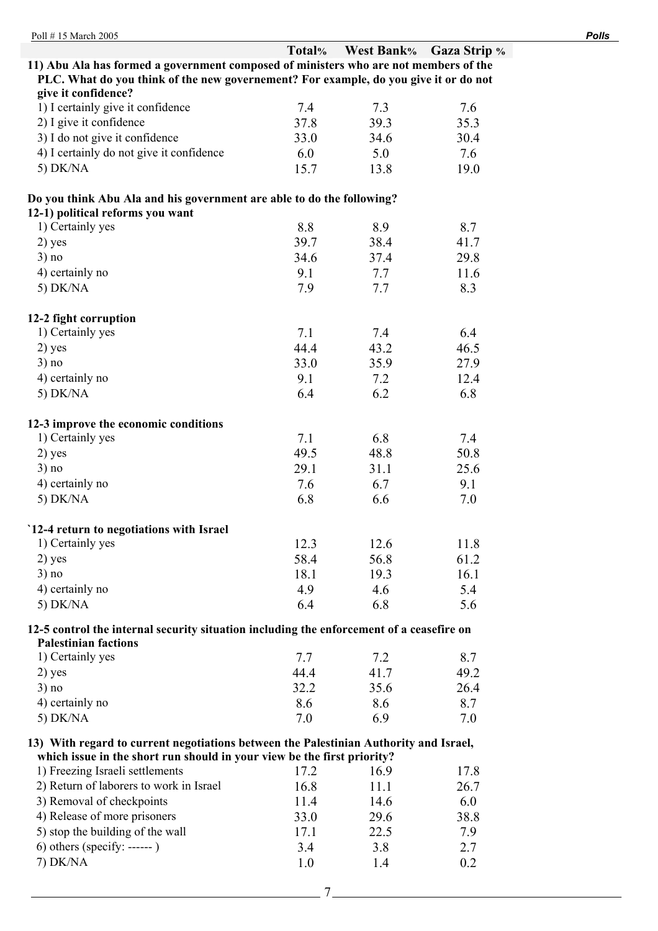| Poll #15 March 2005                                                                      |        |      |                         | <b>Polls</b> |
|------------------------------------------------------------------------------------------|--------|------|-------------------------|--------------|
|                                                                                          | Total% |      | West Bank% Gaza Strip % |              |
| 11) Abu Ala has formed a government composed of ministers who are not members of the     |        |      |                         |              |
| PLC. What do you think of the new governement? For example, do you give it or do not     |        |      |                         |              |
| give it confidence?                                                                      |        |      |                         |              |
| 1) I certainly give it confidence                                                        | 7.4    | 7.3  | 7.6                     |              |
| 2) I give it confidence                                                                  | 37.8   | 39.3 | 35.3                    |              |
| 3) I do not give it confidence                                                           | 33.0   | 34.6 | 30.4                    |              |
| 4) I certainly do not give it confidence                                                 | 6.0    | 5.0  | 7.6                     |              |
| $5)$ DK/NA                                                                               | 15.7   | 13.8 | 19.0                    |              |
| Do you think Abu Ala and his government are able to do the following?                    |        |      |                         |              |
| 12-1) political reforms you want                                                         |        |      |                         |              |
| 1) Certainly yes                                                                         | 8.8    | 8.9  | 8.7                     |              |
| $2)$ yes                                                                                 | 39.7   | 38.4 | 41.7                    |              |
| 3) no                                                                                    | 34.6   | 37.4 | 29.8                    |              |
| 4) certainly no                                                                          | 9.1    | 7.7  | 11.6                    |              |
| 5) DK/NA                                                                                 | 7.9    | 7.7  | 8.3                     |              |
| 12-2 fight corruption                                                                    |        |      |                         |              |
| 1) Certainly yes                                                                         | 7.1    | 7.4  | 6.4                     |              |
| $2)$ yes                                                                                 | 44.4   | 43.2 | 46.5                    |              |
| 3) no                                                                                    | 33.0   | 35.9 | 27.9                    |              |
| 4) certainly no                                                                          | 9.1    | 7.2  | 12.4                    |              |
| 5) $DK/NA$                                                                               | 6.4    | 6.2  | 6.8                     |              |
|                                                                                          |        |      |                         |              |
| 12-3 improve the economic conditions                                                     |        |      |                         |              |
| 1) Certainly yes                                                                         | 7.1    | 6.8  | 7.4                     |              |
| $2)$ yes                                                                                 | 49.5   | 48.8 | 50.8                    |              |
| 3) no                                                                                    | 29.1   | 31.1 | 25.6                    |              |
| 4) certainly no                                                                          | 7.6    | 6.7  | 9.1                     |              |
| 5) DK/NA                                                                                 | 6.8    | 6.6  | 7.0                     |              |
| 12-4 return to negotiations with Israel                                                  |        |      |                         |              |
| 1) Certainly yes                                                                         | 12.3   | 12.6 | 11.8                    |              |
| $2)$ yes                                                                                 | 58.4   | 56.8 | 61.2                    |              |
| 3) no                                                                                    | 18.1   | 19.3 | 16.1                    |              |
| 4) certainly no                                                                          | 4.9    | 4.6  | 5.4                     |              |
| 5) DK/NA                                                                                 | 6.4    | 6.8  | 5.6                     |              |
| 12-5 control the internal security situation including the enforcement of a ceasefire on |        |      |                         |              |
| <b>Palestinian factions</b>                                                              |        |      |                         |              |
| 1) Certainly yes                                                                         | 7.7    | 7.2  | 8.7                     |              |
| $2)$ yes                                                                                 | 44.4   | 41.7 | 49.2                    |              |
| 3) no                                                                                    | 32.2   |      |                         |              |
|                                                                                          |        | 35.6 | 26.4                    |              |
| 4) certainly no                                                                          | 8.6    | 8.6  | 8.7                     |              |
| 5) DK/NA                                                                                 | 7.0    | 6.9  | 7.0                     |              |
| 13) With regard to current negotiations between the Palestinian Authority and Israel,    |        |      |                         |              |
| which issue in the short run should in your view be the first priority?                  |        |      |                         |              |
| 1) Freezing Israeli settlements                                                          | 17.2   | 16.9 | 17.8                    |              |
| 2) Return of laborers to work in Israel                                                  | 16.8   | 11.1 | 26.7                    |              |
| 3) Removal of checkpoints                                                                | 11.4   | 14.6 | 6.0                     |              |
| 4) Release of more prisoners                                                             | 33.0   | 29.6 | 38.8                    |              |
| 5) stop the building of the wall                                                         | 17.1   | 22.5 | 7.9                     |              |
| $6)$ others (specify: ------)                                                            | 3.4    | 3.8  | 2.7                     |              |
| 7) DK/NA                                                                                 | 1.0    | 1.4  | 0.2                     |              |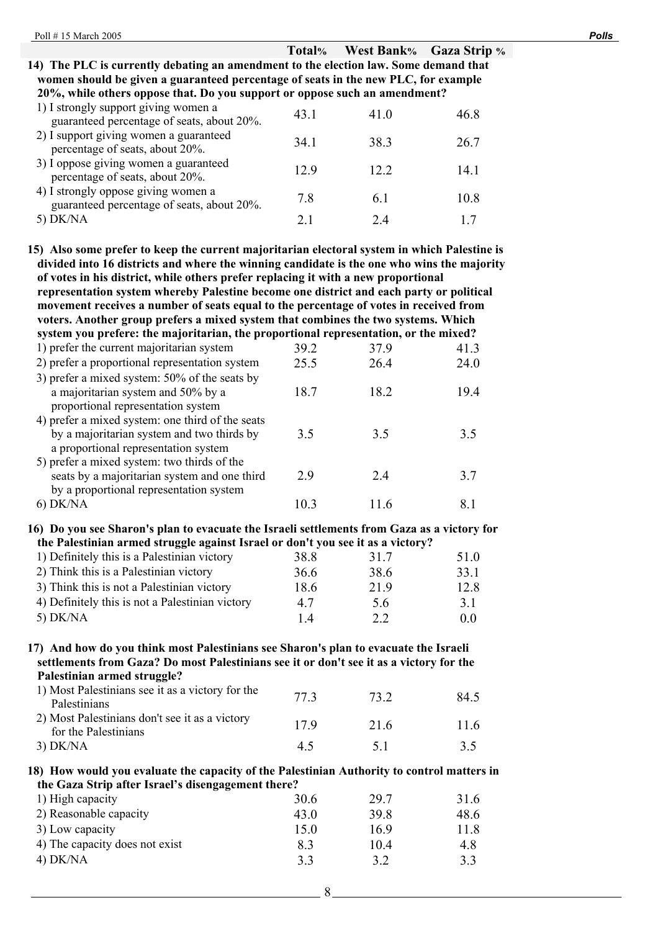|                                                                                                                                                                            |      | Total% West Bank% Gaza Strip % |      |
|----------------------------------------------------------------------------------------------------------------------------------------------------------------------------|------|--------------------------------|------|
| 14) The PLC is currently debating an amendment to the election law. Some demand that<br>women should be given a guaranteed percentage of seats in the new PLC, for example |      |                                |      |
| 20%, while others oppose that. Do you support or oppose such an amendment?                                                                                                 |      |                                |      |
| 1) I strongly support giving women a<br>guaranteed percentage of seats, about 20%.                                                                                         | 43.1 | 41.0                           | 46.8 |
| 2) I support giving women a guaranteed<br>percentage of seats, about 20%.                                                                                                  | 34.1 | 38.3                           | 26.7 |
| 3) I oppose giving women a guaranteed<br>percentage of seats, about 20%.                                                                                                   | 12.9 | 12.2                           | 14.1 |
| 4) I strongly oppose giving women a<br>guaranteed percentage of seats, about 20%.                                                                                          | 7.8  | 6.1                            | 10.8 |
| 5) $DK/NA$                                                                                                                                                                 | 2.1  | 2.4                            | 17   |
| 15) Also some prefer to keep the current majoritarian electoral system in which Palestine is                                                                               |      |                                |      |

**divided into 16 districts and where the winning candidate is the one who wins the majority of votes in his district, while others prefer replacing it with a new proportional representation system whereby Palestine become one district and each party or political movement receives a number of seats equal to the percentage of votes in received from voters. Another group prefers a mixed system that combines the two systems. Which system you prefere: the majoritarian, the proportional representation, or the mixed?**  1) prefer the current majoritarian system 39.2 37.9 41.3 2) prefer a proportional representation system  $25.5$   $26.4$   $24.0$ 3) prefer a mixed system: 50% of the seats by a majoritarian system and 50% by a proportional representation system 18.7 18.2 19.4 4) prefer a mixed system: one third of the seats by a majoritarian system and two thirds by a proportional representation system 3.5 3.5 3.5 5) prefer a mixed system: two thirds of the seats by a majoritarian system and one third by a proportional representation system 2.9 2.4 3.7 6) DK/NA 10.3 11.6 8.1

### **16) Do you see Sharon's plan to evacuate the Israeli settlements from Gaza as a victory for the Palestinian armed struggle against Israel or don't you see it as a victory?**

| 1) Definitely this is a Palestinian victory     | 38.8 | 317  | 510            |
|-------------------------------------------------|------|------|----------------|
| 2) Think this is a Palestinian victory          | 36.6 | 38.6 | 33.1           |
| 3) Think this is not a Palestinian victory      | 18.6 | 219  | 12.8           |
| 4) Definitely this is not a Palestinian victory | 47   | 5.6  | 31             |
| 5) $DK/NA$                                      | 14   | 2.2  | 0 <sub>0</sub> |

### **17) And how do you think most Palestinians see Sharon's plan to evacuate the Israeli settlements from Gaza? Do most Palestinians see it or don't see it as a victory for the Palestinian armed struggle?**

| 1) Most Palestinians see it as a victory for the<br><b>Palestinians</b> | 77 3       | 73 2 | 84.5 |
|-------------------------------------------------------------------------|------------|------|------|
| 2) Most Palestinians don't see it as a victory<br>for the Palestinians  | 179        | 21.6 | 11.6 |
| $3)$ DK/NA                                                              | $4 \Delta$ | 51   | 35   |

### **18) How would you evaluate the capacity of the Palestinian Authority to control matters in the Gaza Strip after Israel's disengagement there?**

| 1) High capacity               | 30.6 | 29.7 | 316  |
|--------------------------------|------|------|------|
| 2) Reasonable capacity         | 43 0 | 39 R | 48.6 |
| 3) Low capacity                | 150  | 169  | 11.8 |
| 4) The capacity does not exist | 83   | 104  | 4.8  |
| $4)$ DK/NA                     | 33   | 3.2  | 3.3  |
|                                |      |      |      |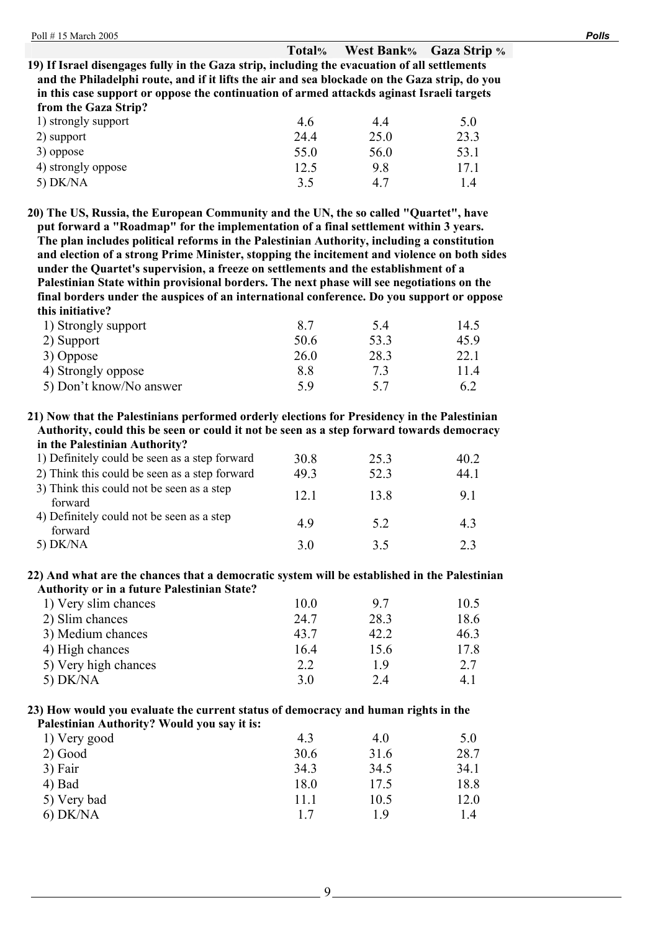# **Total% West Bank% Gaza Strip %**

**19) If Israel disengages fully in the Gaza strip, including the evacuation of all settlements and the Philadelphi route, and if it lifts the air and sea blockade on the Gaza strip, do you in this case support or oppose the continuation of armed attackds aginast Israeli targets from the Gaza Strip?** 

| 1) strongly support | 4.6  | 4.4  | 5.0  |
|---------------------|------|------|------|
| 2) support          | 24.4 | 25.0 | 23.3 |
| 3) oppose           | 55.0 | 56.0 | 53.1 |
| 4) strongly oppose  | 12.5 | 9.8  | 17 1 |
| $5)$ DK/NA          | 3.5  | 47   |      |

**20) The US, Russia, the European Community and the UN, the so called "Quartet", have put forward a "Roadmap" for the implementation of a final settlement within 3 years. The plan includes political reforms in the Palestinian Authority, including a constitution and election of a strong Prime Minister, stopping the incitement and violence on both sides under the Quartet's supervision, a freeze on settlements and the establishment of a Palestinian State within provisional borders. The next phase will see negotiations on the final borders under the auspices of an international conference. Do you support or oppose this initiative?** 

| 1) Strongly support     | 87   | 54   | 14.5 |
|-------------------------|------|------|------|
| 2) Support              | 50.6 | 53.3 | 459  |
| 3) Oppose               | 26.0 | 28.3 | 22.1 |
| 4) Strongly oppose      | 88   | 73   | 114  |
| 5) Don't know/No answer | 5 Q  | 57   | 62   |

**21) Now that the Palestinians performed orderly elections for Presidency in the Palestinian Authority, could this be seen or could it not be seen as a step forward towards democracy in the Palestinian Authority?** 

| $\cdots$ , $\cdots$ , $\cdots$ , $\cdots$ , $\cdots$ , $\cdots$ , $\cdots$ , $\cdots$ , $\cdots$ , $\cdots$ , $\cdots$ |      |      |      |
|------------------------------------------------------------------------------------------------------------------------|------|------|------|
| 1) Definitely could be seen as a step forward                                                                          | 30 R | 25.3 | 40.2 |
| 2) Think this could be seen as a step forward                                                                          | 49.3 | 52.3 | 44.1 |
| 3) Think this could not be seen as a step<br>forward                                                                   | 12.1 | 13.8 | 91   |
| 4) Definitely could not be seen as a step<br>forward                                                                   | 49   | 5.2  | 4.3  |
| $5)$ DK/NA                                                                                                             | 30   | 35   | 23   |

### **22) And what are the chances that a democratic system will be established in the Palestinian Authority or in a future Palestinian State?**

| 1) Very slim chances | 10.0 | 97   | 10.5 |
|----------------------|------|------|------|
| 2) Slim chances      | 24.7 | 28.3 | 18.6 |
| 3) Medium chances    | 43.7 | 42.2 | 46.3 |
| 4) High chances      | 16.4 | 15.6 | 17.8 |
| 5) Very high chances | 2.2  | 19   | 2.7  |
| $5)$ DK/NA           | 3.0  | 2.4  | 4. I |

### **23) How would you evaluate the current status of democracy and human rights in the Palestinian Authority? Would you say it is:**

| r alestiniali Authority: Would you say it is: |      |      |      |
|-----------------------------------------------|------|------|------|
| 1) Very good                                  | 4.3  | 4.0  | 5.0  |
| $2)$ Good                                     | 30.6 | 31.6 | 28.7 |
| 3) Fair                                       | 34.3 | 34.5 | 34.1 |
| 4) Bad                                        | 18.0 | 17.5 | 18.8 |
| 5) Very bad                                   | 11.1 | 10.5 | 12.0 |
| $6)$ DK/NA                                    | 17   | 1 Q  | 14   |
|                                               |      |      |      |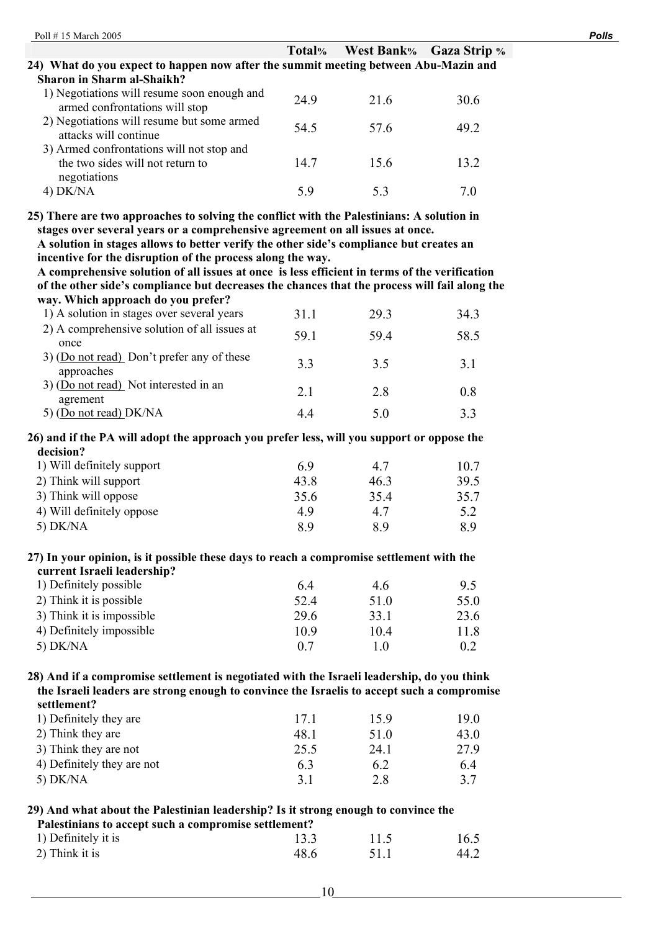|                                                                                               | Total% | West Bank% Gaza Strip % |      |
|-----------------------------------------------------------------------------------------------|--------|-------------------------|------|
| 24) What do you expect to happen now after the summit meeting between Abu-Mazin and           |        |                         |      |
| Sharon in Sharm al-Shaikh?                                                                    |        |                         |      |
| 1) Negotiations will resume soon enough and<br>armed confrontations will stop                 | 24.9   | 21.6                    | 30.6 |
| 2) Negotiations will resume but some armed<br>attacks will continue                           | 54.5   | 57.6                    | 49.2 |
| 3) Armed confrontations will not stop and<br>the two sides will not return to<br>negotiations | 14.7   | 15.6                    | 13.2 |
| $4)$ DK/NA                                                                                    | 59     | 53                      | 7 Q  |

**stages over several years or a comprehensive agreement on all issues at once.** 

**A solution in stages allows to better verify the other side's compliance but creates an incentive for the disruption of the process along the way.** 

**A comprehensive solution of all issues at once is less efficient in terms of the verification of the other side's compliance but decreases the chances that the process will fail along the way. Which approach do you prefer?** 

| 1) A solution in stages over several years                 | 311  | 29.3 | 34.3 |
|------------------------------------------------------------|------|------|------|
| 2) A comprehensive solution of all issues at<br>once       | 59.1 | 59.4 | 58.5 |
| $3)$ (Do not read) Don't prefer any of these<br>approaches | 3.3  | 35   | 31   |
| 3) (Do not read) Not interested in an<br>agrement          | 2.1  | 2.8  | 0.8  |
| 5) (Do not read) DK/NA                                     | 44   | 50   | 22   |

### **26) and if the PA will adopt the approach you prefer less, will you support or oppose the decision?**

| 1) Will definitely support | 69   | 4.7  | 10.7 |
|----------------------------|------|------|------|
| 2) Think will support      | 43.8 | 463  | 39 5 |
| 3) Think will oppose       | 35.6 | 35.4 | 35.7 |
| 4) Will definitely oppose  | 49   | 4.7  | 52   |
| 5) $DK/NA$                 | 89   | 89   | 89   |
|                            |      |      |      |

### **27) In your opinion, is it possible these days to reach a compromise settlement with the current Israeli leadership?**

| 1) Definitely possible    | 64   | 46   | 95   |
|---------------------------|------|------|------|
| 2) Think it is possible   | 524  | 510  | 55.0 |
| 3) Think it is impossible | 29.6 | 33.1 | 23.6 |
| 4) Definitely impossible  | 10.9 | 104  | 11.8 |
| 5) $DK/NA$                | 0.7  | 1 O  | 02   |

### **28) And if a compromise settlement is negotiated with the Israeli leadership, do you think the Israeli leaders are strong enough to convince the Israelis to accept such a compromise settlement?**

| 1) Definitely they are     | 171  | 159  | 19 O |
|----------------------------|------|------|------|
| 2) Think they are          | 48.1 | 51.0 | 43.0 |
| 3) Think they are not      | 25.5 | 24 1 | 279  |
| 4) Definitely they are not | 63   | 6.2  | 64   |
| 5) $DK/NA$                 | 31   | 28   | 37   |

# **29) And what about the Palestinian leadership? Is it strong enough to convince the**

| Palestinians to accept such a compromise settlement? |      |      |      |
|------------------------------------------------------|------|------|------|
| 1) Definitely it is                                  | 13.3 | 11.5 | 16.5 |
| 2) Think it is                                       | 48.6 | 511  | 44.2 |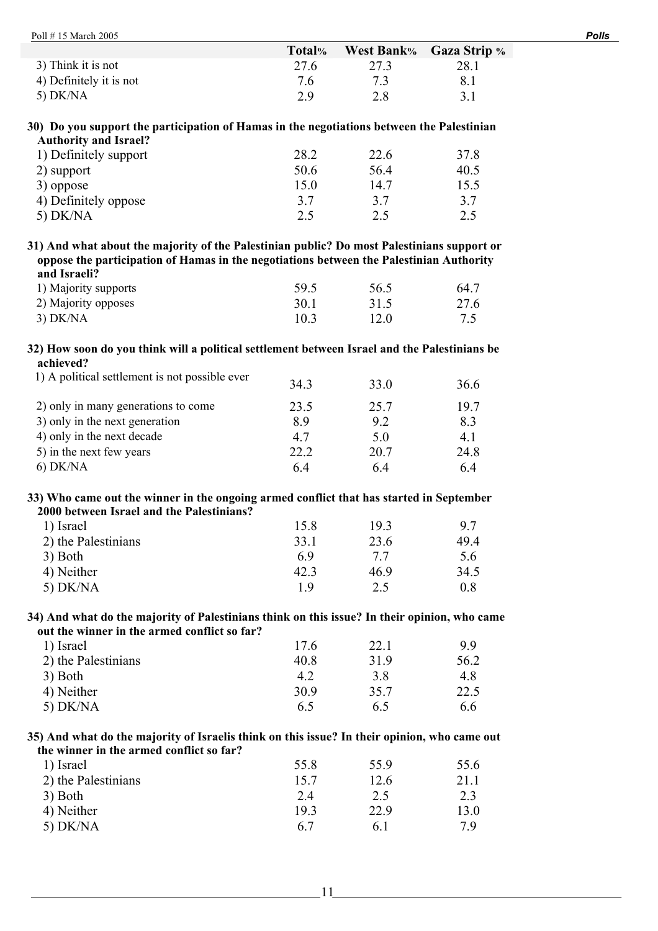|                                                                                            | Total% | <b>West Bank%</b> | <b>Gaza Strip</b> % |
|--------------------------------------------------------------------------------------------|--------|-------------------|---------------------|
| 3) Think it is not                                                                         | 27.6   | 27.3              | 28.1                |
| 4) Definitely it is not                                                                    | 7.6    | 7.3               | 8.1                 |
| $5)$ DK/NA                                                                                 | 2.9    | 2.8               | 3.1                 |
| 30) Do you support the participation of Hamas in the negotiations between the Palestinian  |        |                   |                     |
| <b>Authority and Israel?</b>                                                               |        |                   |                     |
| 1) Definitely support                                                                      | 28.2   | 22.6              | 37.8                |
| 2) support                                                                                 | 50.6   | 56.4              | 40.5                |
| 3) oppose                                                                                  | 15.0   | 14.7              | 15.5                |
| 4) Definitely oppose                                                                       | 3.7    | 3.7               | 3.7                 |
| 5) $DK/NA$                                                                                 | 2.5    | 2.5               | 2.5                 |
| 31) And what about the majority of the Palestinian public? Do most Palestinians support or |        |                   |                     |
| oppose the participation of Hamas in the negotiations between the Palestinian Authority    |        |                   |                     |
| and Israeli?                                                                               |        |                   |                     |
| 1) Majority supports                                                                       | 59.5   | 56.5              | 64.7                |
| 2) Majority opposes                                                                        | 30.1   | 31.5              | 27.6                |

## **32) How soon do you think will a political settlement between Israel and the Palestinians be achieved?**

3) DK/NA 10.3 12.0 7.5

| 1) A political settlement is not possible ever | 34.3 | 33.0 | 36.6 |
|------------------------------------------------|------|------|------|
| 2) only in many generations to come            | 23.5 | 25.7 | 197  |
| 3) only in the next generation                 | 89   | 9.2  | 8.3  |
| 4) only in the next decade                     | 47   | 5.0  | 4.1  |
| 5) in the next few years                       | 22.2 | 20.7 | 24.8 |
| $6)$ DK/NA                                     | 64   | 64   | 64   |

### **33) Who came out the winner in the ongoing armed conflict that has started in September 2000 between Israel and the Palestinians?**

| 1) Israel           | 15.8 | 193  | 97   |
|---------------------|------|------|------|
| 2) the Palestinians | 33.1 | 23.6 | 49.4 |
| 3) Both             | 69   | 77   | 5.6  |
| 4) Neither          | 42.3 | 469  | 34.5 |
| $5)$ DK/NA          | 1 Q  | 2.5  | 0.8  |

## **34) And what do the majority of Palestinians think on this issue? In their opinion, who came out the winner in the armed conflict so far?**

| 1) Israel           | 17.6 | 22.1 | 99   |
|---------------------|------|------|------|
| 2) the Palestinians | 40.8 | 319  | 56.2 |
| 3) Both             | 4.2  | 3.8  | 4.8  |
| 4) Neither          | 30.9 | 35.7 | 22.5 |
| $5)$ DK/NA          | 6.5  | 6.5  | 6.6  |

### **35) And what do the majority of Israelis think on this issue? In their opinion, who came out the winner in the armed conflict so far?**

| 1) Israel           | 55.8 | 55.9 | 55.6 |
|---------------------|------|------|------|
| 2) the Palestinians | 15.7 | 12.6 | 21.1 |
| 3) Both             | 2.4  | 2.5  | 2.3  |
| 4) Neither          | 193  | 22.9 | 13.0 |
| $5)$ DK/NA          | 67   | 6 1  | 7 Q  |
|                     |      |      |      |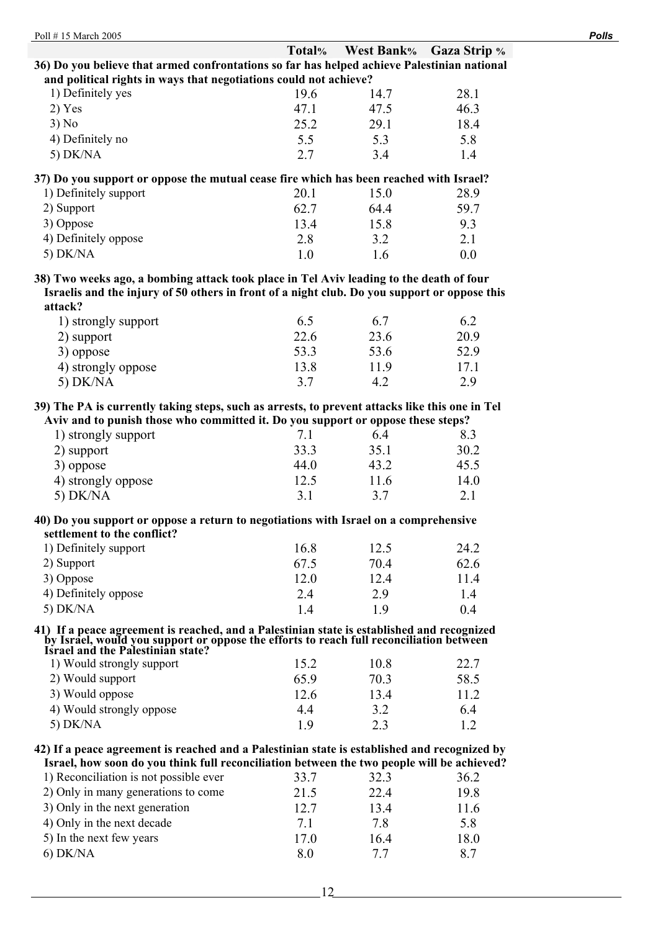| Poll #15 March 2005                                                                                                                                                                                |        |                   |                     | <b>Polls</b> |
|----------------------------------------------------------------------------------------------------------------------------------------------------------------------------------------------------|--------|-------------------|---------------------|--------------|
|                                                                                                                                                                                                    | Total% | <b>West Bank%</b> | <b>Gaza Strip %</b> |              |
| 36) Do you believe that armed confrontations so far has helped achieve Palestinian national                                                                                                        |        |                   |                     |              |
| and political rights in ways that negotiations could not achieve?                                                                                                                                  |        |                   |                     |              |
| 1) Definitely yes                                                                                                                                                                                  | 19.6   | 14.7              | 28.1                |              |
| 2) Yes                                                                                                                                                                                             | 47.1   | 47.5              | 46.3                |              |
| 3) No                                                                                                                                                                                              | 25.2   | 29.1              | 18.4                |              |
| 4) Definitely no                                                                                                                                                                                   | 5.5    | 5.3               | 5.8                 |              |
| 5) $DK/NA$                                                                                                                                                                                         | 2.7    | 3.4               | 1.4                 |              |
| 37) Do you support or oppose the mutual cease fire which has been reached with Israel?                                                                                                             |        |                   |                     |              |
| 1) Definitely support                                                                                                                                                                              | 20.1   | 15.0              | 28.9                |              |
| 2) Support                                                                                                                                                                                         | 62.7   | 64.4              | 59.7                |              |
| 3) Oppose                                                                                                                                                                                          | 13.4   | 15.8              | 9.3                 |              |
| 4) Definitely oppose                                                                                                                                                                               | 2.8    | 3.2               | 2.1                 |              |
| $5)$ DK/NA                                                                                                                                                                                         | 1.0    | 1.6               | 0.0                 |              |
| 38) Two weeks ago, a bombing attack took place in Tel Aviv leading to the death of four<br>Israelis and the injury of 50 others in front of a night club. Do you support or oppose this<br>attack? |        |                   |                     |              |
| 1) strongly support                                                                                                                                                                                | 6.5    | 6.7               | 6.2                 |              |
| 2) support                                                                                                                                                                                         | 22.6   | 23.6              | 20.9                |              |
| 3) oppose                                                                                                                                                                                          | 53.3   | 53.6              | 52.9                |              |
| 4) strongly oppose                                                                                                                                                                                 | 13.8   | 11.9              | 17.1                |              |
| 5) DK/NA                                                                                                                                                                                           | 3.7    | 4.2               | 2.9                 |              |
| 39) The PA is currently taking steps, such as arrests, to prevent attacks like this one in Tel<br>Aviv and to punish those who committed it. Do you support or oppose these steps?                 |        |                   |                     |              |
| 1) strongly support                                                                                                                                                                                | 7.1    | 6.4               | 8.3                 |              |
| 2) support                                                                                                                                                                                         | 33.3   | 35.1              | 30.2                |              |
| 3) oppose                                                                                                                                                                                          | 44.0   | 43.2              | 45.5                |              |
| 4) strongly oppose                                                                                                                                                                                 | 12.5   | 11.6              | 14.0                |              |
| 5) DK/NA                                                                                                                                                                                           | 3.1    | 3.7               | 2.1                 |              |
| 40) Do you support or oppose a return to negotiations with Israel on a comprehensive<br>settlement to the conflict?                                                                                |        |                   |                     |              |

| 1) Definitely support | 16.8 | 12.5 | 24.2 |
|-----------------------|------|------|------|
| 2) Support            | 67.5 | 704  | 62.6 |
| 3) Oppose             | 12.0 | 12.4 | 11.4 |
| 4) Definitely oppose  | 2.4  | 2.9  | 14   |
| $5)$ DK/NA            | 14   | 19   | 0.4  |
|                       |      |      |      |

# **41) If a peace agreement is reached, and a Palestinian state is established and recognized by Israel, would you support or oppose the efforts to reach full reconciliation between Israel and the Palestinian state?**

| 1) Would strongly support | 15.2 | 10.8 | 22.7 |
|---------------------------|------|------|------|
| 2) Would support          | 65.9 | 703  | 58.5 |
| 3) Would oppose           | 12.6 | 134  | 11 2 |
| 4) Would strongly oppose  | 44   | 32   | 64   |
| 5) $DK/NA$                | 19   | 23   |      |

### **42) If a peace agreement is reached and a Palestinian state is established and recognized by Israel, how soon do you think full reconciliation between the two people will be achieved?**

| The MAT TEAL II AGAIN WAS LATER THAT THE THROUGH MILLION AND LINE AND ALLA DAMAGEMENT WAS MATTED LAT |      |      |      |
|------------------------------------------------------------------------------------------------------|------|------|------|
| 1) Reconciliation is not possible ever                                                               | 33.7 | 32.3 | 36.2 |
| 2) Only in many generations to come                                                                  | 21.5 | 22.4 | 19.8 |
| 3) Only in the next generation                                                                       | 12.7 | 13.4 | 11.6 |
| 4) Only in the next decade                                                                           | 71   | 7.8  | 5.8  |
| 5) In the next few years                                                                             | 17.0 | 16.4 | 18.0 |
| $6)$ DK/NA                                                                                           | 80   | 77   | 87   |
|                                                                                                      |      |      |      |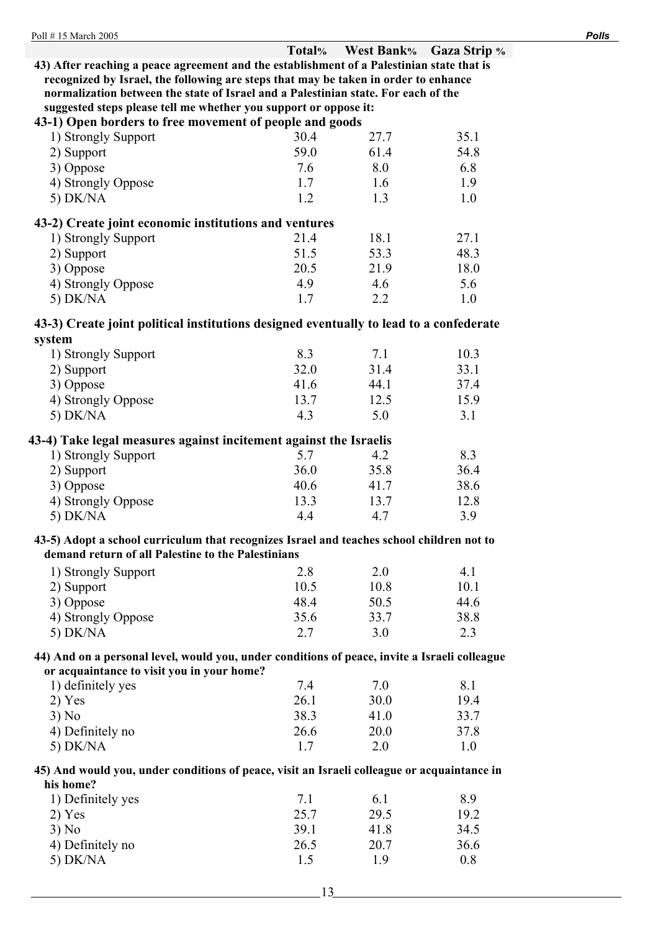|                                                                                               | Total% | <b>West Bank%</b> | <b>Gaza Strip</b> % |
|-----------------------------------------------------------------------------------------------|--------|-------------------|---------------------|
| 43) After reaching a peace agreement and the establishment of a Palestinian state that is     |        |                   |                     |
| recognized by Israel, the following are steps that may be taken in order to enhance           |        |                   |                     |
| normalization between the state of Israel and a Palestinian state. For each of the            |        |                   |                     |
| suggested steps please tell me whether you support or oppose it:                              |        |                   |                     |
| 43-1) Open borders to free movement of people and goods                                       |        |                   |                     |
| 1) Strongly Support                                                                           | 30.4   | 27.7              | 35.1                |
| 2) Support                                                                                    | 59.0   | 61.4              | 54.8                |
| 3) Oppose                                                                                     | 7.6    | 8.0               | 6.8                 |
| 4) Strongly Oppose                                                                            | 1.7    | 1.6               | 1.9                 |
| 5) DK/NA                                                                                      | 1.2    | 1.3               | 1.0                 |
|                                                                                               |        |                   |                     |
| 43-2) Create joint economic institutions and ventures                                         |        |                   |                     |
| 1) Strongly Support                                                                           | 21.4   | 18.1              | 27.1                |
| 2) Support                                                                                    | 51.5   | 53.3              | 48.3                |
| 3) Oppose                                                                                     | 20.5   | 21.9              | 18.0                |
| 4) Strongly Oppose                                                                            | 4.9    | 4.6               | 5.6                 |
| 5) DK/NA                                                                                      | 1.7    | 2.2               | 1.0                 |
|                                                                                               |        |                   |                     |
| 43-3) Create joint political institutions designed eventually to lead to a confederate        |        |                   |                     |
| system                                                                                        |        |                   |                     |
| 1) Strongly Support                                                                           | 8.3    | 7.1               | 10.3                |
| 2) Support                                                                                    | 32.0   | 31.4              | 33.1                |
| 3) Oppose                                                                                     | 41.6   | 44.1              | 37.4                |
| 4) Strongly Oppose                                                                            | 13.7   | 12.5              | 15.9                |
| 5) $DK/NA$                                                                                    | 4.3    | 5.0               | 3.1                 |
|                                                                                               |        |                   |                     |
| 43-4) Take legal measures against incitement against the Israelis                             |        |                   |                     |
| 1) Strongly Support                                                                           | 5.7    | 4.2               | 8.3                 |
| 2) Support                                                                                    | 36.0   | 35.8              | 36.4                |
| 3) Oppose                                                                                     | 40.6   | 41.7              | 38.6                |
| 4) Strongly Oppose                                                                            | 13.3   | 13.7              | 12.8                |
| 5) DK/NA                                                                                      | 4.4    | 4.7               | 3.9                 |
| 43-5) Adopt a school curriculum that recognizes Israel and teaches school children not to     |        |                   |                     |
| demand return of all Palestine to the Palestinians                                            |        |                   |                     |
| 1) Strongly Support                                                                           | 2.8    | 2.0               | 4.1                 |
|                                                                                               | 10.5   | 10.8              | 10.1                |
| 2) Support                                                                                    | 48.4   |                   | 44.6                |
| 3) Oppose                                                                                     |        | 50.5              |                     |
| 4) Strongly Oppose                                                                            | 35.6   | 33.7              | 38.8                |
| 5) DK/NA                                                                                      | 2.7    | 3.0               | 2.3                 |
| 44) And on a personal level, would you, under conditions of peace, invite a Israeli colleague |        |                   |                     |
| or acquaintance to visit you in your home?                                                    |        |                   |                     |
| 1) definitely yes                                                                             | 7.4    | 7.0               | 8.1                 |
| 2) Yes                                                                                        | 26.1   | 30.0              | 19.4                |
| 3) No                                                                                         | 38.3   | 41.0              | 33.7                |
| 4) Definitely no                                                                              | 26.6   | 20.0              | 37.8                |
| 5) DK/NA                                                                                      | 1.7    | 2.0               | 1.0                 |
|                                                                                               |        |                   |                     |
| 45) And would you, under conditions of peace, visit an Israeli colleague or acquaintance in   |        |                   |                     |
| his home?                                                                                     |        |                   |                     |
| 1) Definitely yes                                                                             | 7.1    | 6.1               | 8.9                 |
| $2)$ Yes                                                                                      | 25.7   | 29.5              | 19.2                |
| 3) No                                                                                         | 39.1   | 41.8              | 34.5                |
| 4) Definitely no                                                                              | 26.5   | 20.7              | 36.6                |
| 5) DK/NA                                                                                      | 1.5    | 1.9               | 0.8                 |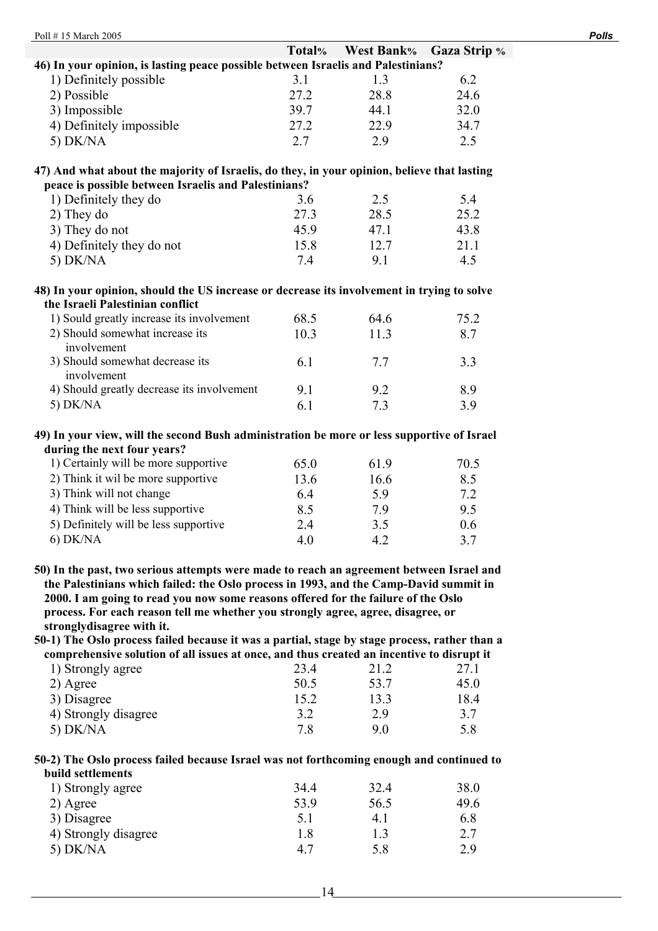| Poll #15 March 2005                                                                                                                                                                                                                                                                                                                                                                     |             |                   |                     | <b>Polls</b> |
|-----------------------------------------------------------------------------------------------------------------------------------------------------------------------------------------------------------------------------------------------------------------------------------------------------------------------------------------------------------------------------------------|-------------|-------------------|---------------------|--------------|
|                                                                                                                                                                                                                                                                                                                                                                                         | Total%      | <b>West Bank%</b> | <b>Gaza Strip %</b> |              |
| 46) In your opinion, is lasting peace possible between Israelis and Palestinians?                                                                                                                                                                                                                                                                                                       |             |                   |                     |              |
| 1) Definitely possible                                                                                                                                                                                                                                                                                                                                                                  | 3.1         | 1.3               | 6.2                 |              |
| 2) Possible                                                                                                                                                                                                                                                                                                                                                                             | 27.2        | 28.8              | 24.6                |              |
| 3) Impossible                                                                                                                                                                                                                                                                                                                                                                           | 39.7        | 44.1              | 32.0                |              |
| 4) Definitely impossible                                                                                                                                                                                                                                                                                                                                                                | 27.2        | 22.9              | 34.7                |              |
| 5) $DK/NA$                                                                                                                                                                                                                                                                                                                                                                              | 2.7         | 2.9               | 2.5                 |              |
| 47) And what about the majority of Israelis, do they, in your opinion, believe that lasting<br>peace is possible between Israelis and Palestinians?<br>1) Definitely they do<br>2) They do                                                                                                                                                                                              | 3.6<br>27.3 | 2.5<br>28.5       | 5.4<br>25.2         |              |
|                                                                                                                                                                                                                                                                                                                                                                                         | 45.9        | 47.1              | 43.8                |              |
| 3) They do not                                                                                                                                                                                                                                                                                                                                                                          |             |                   |                     |              |
| 4) Definitely they do not                                                                                                                                                                                                                                                                                                                                                               | 15.8        | 12.7              | 21.1                |              |
| 5) $DK/NA$                                                                                                                                                                                                                                                                                                                                                                              | 7.4         | 9.1               | 4.5                 |              |
| 48) In your opinion, should the US increase or decrease its involvement in trying to solve<br>the Israeli Palestinian conflict                                                                                                                                                                                                                                                          |             |                   |                     |              |
| 1) Sould greatly increase its involvement                                                                                                                                                                                                                                                                                                                                               | 68.5        | 64.6              | 75.2                |              |
| 2) Should somewhat increase its<br>involvement                                                                                                                                                                                                                                                                                                                                          | 10.3        | 11.3              | 8.7                 |              |
| 3) Should somewhat decrease its<br>involvement                                                                                                                                                                                                                                                                                                                                          | 6.1         | 7.7               | 3.3                 |              |
| 4) Should greatly decrease its involvement                                                                                                                                                                                                                                                                                                                                              | 9.1         | 9.2               | 8.9                 |              |
| 5) $DK/NA$                                                                                                                                                                                                                                                                                                                                                                              | 6.1         | 7.3               | 3.9                 |              |
| 49) In your view, will the second Bush administration be more or less supportive of Israel<br>during the next four years?                                                                                                                                                                                                                                                               |             |                   |                     |              |
| 1) Certainly will be more supportive                                                                                                                                                                                                                                                                                                                                                    | 65.0        | 61.9              | 70.5                |              |
| 2) Think it wil be more supportive                                                                                                                                                                                                                                                                                                                                                      | 13.6        | 16.6              | 8.5                 |              |
| 3) Think will not change                                                                                                                                                                                                                                                                                                                                                                | 6.4         | 5.9               | 7.2                 |              |
| 4) Think will be less supportive                                                                                                                                                                                                                                                                                                                                                        | 8.5         | 7.9               | 9.5                 |              |
| 5) Definitely will be less supportive                                                                                                                                                                                                                                                                                                                                                   | 2.4         | 3.5               | 0.6                 |              |
| $6)$ DK/NA                                                                                                                                                                                                                                                                                                                                                                              | 4.0         | 4.2               | 3.7                 |              |
| 50) In the past, two serious attempts were made to reach an agreement between Israel and<br>the Palestinians which failed: the Oslo process in 1993, and the Camp-David summit in<br>2000. I am going to read you now some reasons offered for the failure of the Oslo<br>process. For each reason tell me whether you strongly agree, agree, disagree, or<br>stronglydisagree with it. |             |                   |                     |              |
| 50-1) The Oslo process failed because it was a partial, stage by stage process, rather than a                                                                                                                                                                                                                                                                                           |             |                   |                     |              |
| comprehensive solution of all issues at once, and thus created an incentive to disrupt it                                                                                                                                                                                                                                                                                               |             |                   |                     |              |
| 1) Strongly agree                                                                                                                                                                                                                                                                                                                                                                       | 23.4        | 21.2              | 27.1                |              |
| 2) Agree                                                                                                                                                                                                                                                                                                                                                                                | 50.5        | 53.7              | 45.0                |              |
| 3) Disagree                                                                                                                                                                                                                                                                                                                                                                             | 15.2        | 13.3              | 18.4                |              |
| 4) Strongly disagree                                                                                                                                                                                                                                                                                                                                                                    | 3.2         | 2.9               | 3.7                 |              |
| 5) $DK/NA$                                                                                                                                                                                                                                                                                                                                                                              | 7.8         | 9.0               | 5.8                 |              |
| 50-2) The Oslo process failed because Israel was not forthcoming enough and continued to<br>build settlements                                                                                                                                                                                                                                                                           |             |                   |                     |              |

| 34.4 | 32.4 | 38.0 |
|------|------|------|
| 53.9 | 56.5 | 49.6 |
| 5.1  | 4.1  | 6.8  |
| 18   | 13   | 2.7  |
| 4.7  | 58   | 2.9  |
|      |      |      |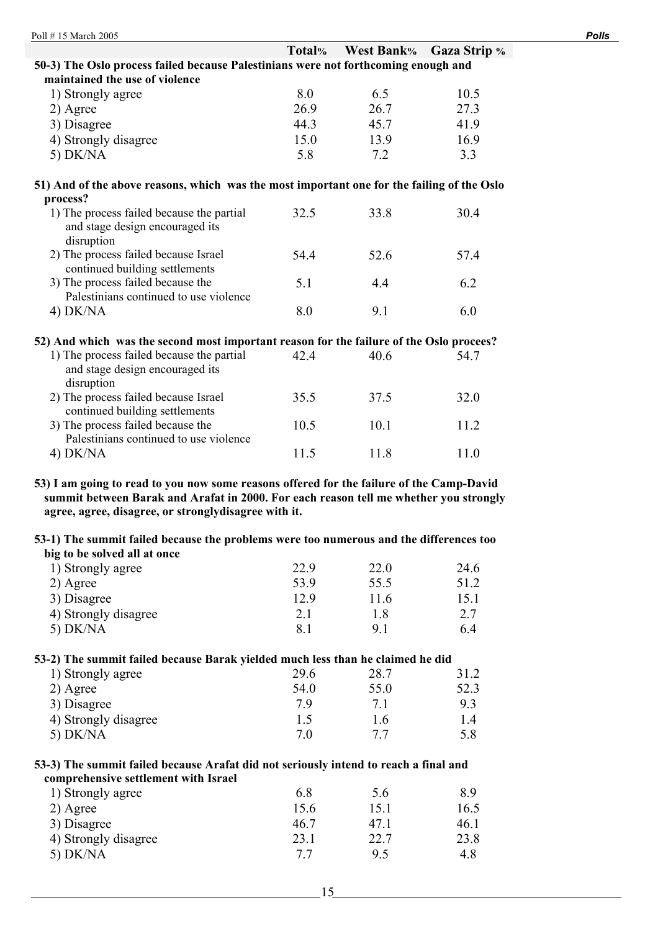|                                                                                            | Total% | <b>West Bank%</b> | <b>Gaza Strip %</b> |  |  |
|--------------------------------------------------------------------------------------------|--------|-------------------|---------------------|--|--|
| 50-3) The Oslo process failed because Palestinians were not forthcoming enough and         |        |                   |                     |  |  |
| maintained the use of violence                                                             |        |                   |                     |  |  |
| 1) Strongly agree                                                                          | 8.0    | 6.5               | 10.5                |  |  |
| 2) Agree                                                                                   | 26.9   | 26.7              | 27.3                |  |  |
| 3) Disagree                                                                                | 44.3   | 45.7              | 41.9                |  |  |
| 4) Strongly disagree                                                                       | 15.0   | 13.9              | 16.9                |  |  |
| 5) DK/NA                                                                                   | 5.8    | 7.2               | 3.3                 |  |  |
| 51) And of the above reasons, which was the most important one for the failing of the Oslo |        |                   |                     |  |  |
| process?                                                                                   |        |                   |                     |  |  |
| 1) The process failed because the partial<br>and stage design encouraged its<br>disruption | 32.5   | 33.8              | 30.4                |  |  |
| 2) The process failed because Israel<br>continued building settlements                     | 54.4   | 52.6              | 57.4                |  |  |
| 3) The process failed because the<br>Palestinians continued to use violence                | 5.1    | 4.4               | 6.2                 |  |  |
| $4)$ DK/NA                                                                                 | 8.0    | 9.1               | 6.0                 |  |  |
| 52) And which was the second most important reason for the failure of the Oslo procees?    |        |                   |                     |  |  |
| 1) The process failed because the partial<br>and stage design encouraged its<br>disruption | 42.4   | 40.6              | 54.7                |  |  |
| 2) The process failed because Israel<br>continued building settlements                     | 35.5   | 37.5              | 32.0                |  |  |
| 3) The process failed because the<br>Palestinians continued to use violence                | 10.5   | 10.1              | 11.2                |  |  |
| $4)$ DK/NA                                                                                 | 11.5   | 11.8              | 11.0                |  |  |

**53) I am going to read to you now some reasons offered for the failure of the Camp-David summit between Barak and Arafat in 2000. For each reason tell me whether you strongly agree, agree, disagree, or stronglydisagree with it.** 

### **53-1) The summit failed because the problems were too numerous and the differences too big to be solved all at once**

| 1) Strongly agree    | 22.9 | 22.0 | 24.6 |
|----------------------|------|------|------|
| 2) Agree             | 53.9 | 55.5 | 51.2 |
| 3) Disagree          | 12.9 | 116  | 15.1 |
| 4) Strongly disagree | 2.1  | 1.8  | 2.7  |
| 5) $DK/NA$           | 8.1  | Q    | 6.4  |

## **53-2) The summit failed because Barak yielded much less than he claimed he did**

| 29.6 | 28.7 | 31.2 |
|------|------|------|
| 54.0 | 55.0 | 52.3 |
| 79   |      | 93   |
| L.5  | 1.6  |      |
| 7.0  |      | 5.8  |
|      |      |      |

### **53-3) The summit failed because Arafat did not seriously intend to reach a final and comprehensive settlement with Israel**

| 1) Strongly agree    | 6.8  | 5.6  | 89   |
|----------------------|------|------|------|
| 2) Agree             | 15.6 | 15.1 | 16.5 |
| 3) Disagree          | 46.7 | 47 1 | 46.1 |
| 4) Strongly disagree | 23.1 | 22.7 | 23.8 |
| 5) $DK/NA$           | 77   | 95   | 4.8  |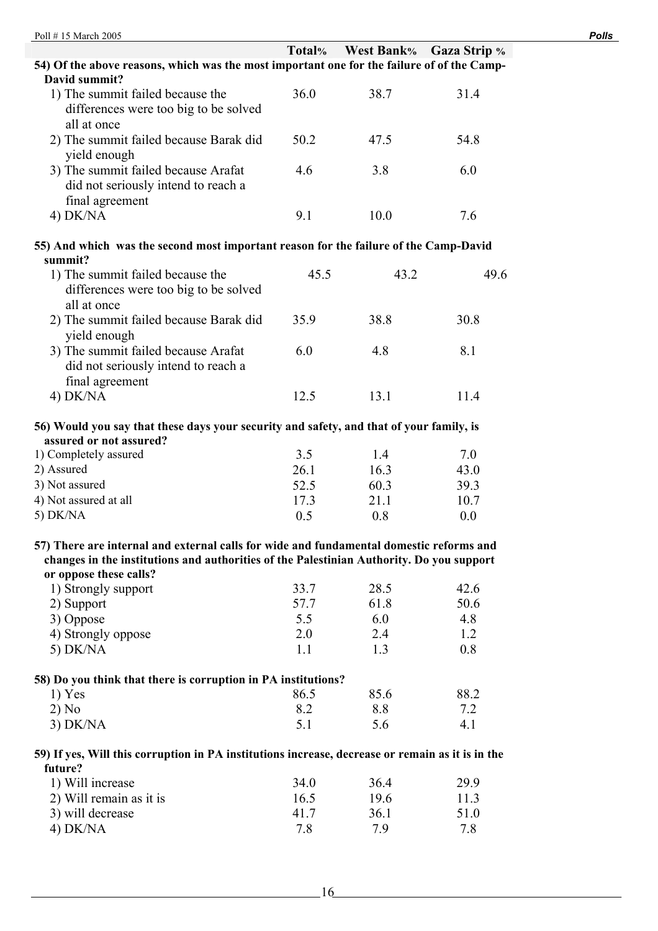|                                                                                                  | Total%               | <b>West Bank%</b> | <b>Gaza Strip</b> % |
|--------------------------------------------------------------------------------------------------|----------------------|-------------------|---------------------|
| 54) Of the above reasons, which was the most important one for the failure of of the Camp-       |                      |                   |                     |
| David summit?                                                                                    |                      |                   |                     |
| 1) The summit failed because the                                                                 | 36.0                 | 38.7              | 31.4                |
| differences were too big to be solved                                                            |                      |                   |                     |
| all at once                                                                                      |                      |                   |                     |
| 2) The summit failed because Barak did                                                           | 50.2                 | 47.5              | 54.8                |
| yield enough                                                                                     |                      |                   |                     |
| 3) The summit failed because Arafat                                                              | 4.6                  | 3.8               | 6.0                 |
| did not seriously intend to reach a                                                              |                      |                   |                     |
| final agreement                                                                                  |                      |                   |                     |
| $4)$ DK/NA                                                                                       | 9.1                  | 10.0              | 7.6                 |
|                                                                                                  |                      |                   |                     |
| 55) And which was the second most important reason for the failure of the Camp-David             |                      |                   |                     |
| summit?                                                                                          |                      |                   |                     |
| 1) The summit failed because the                                                                 | 45.5                 | 43.2              | 49.6                |
| differences were too big to be solved                                                            |                      |                   |                     |
| all at once                                                                                      |                      |                   |                     |
| 2) The summit failed because Barak did                                                           | 35.9                 | 38.8              | 30.8                |
| yield enough                                                                                     |                      |                   |                     |
| 3) The summit failed because Arafat                                                              | 6.0                  | 4.8               | 8.1                 |
| did not seriously intend to reach a                                                              |                      |                   |                     |
| final agreement                                                                                  |                      |                   |                     |
| $4)$ DK/NA                                                                                       | 12.5                 | 13.1              | 11.4                |
|                                                                                                  |                      |                   |                     |
| 56) Would you say that these days your security and safety, and that of your family, is          |                      |                   |                     |
| assured or not assured?                                                                          |                      |                   |                     |
| 1) Completely assured                                                                            | 3.5                  | 1.4               | 7.0                 |
| 2) Assured                                                                                       | 26.1                 | 16.3              | 43.0                |
| 3) Not assured                                                                                   | 52.5                 | 60.3              | 39.3                |
| 4) Not assured at all                                                                            | 17.3                 | 21.1              | 10.7                |
| 5) DK/NA                                                                                         | 0.5                  | 0.8               | 0.0                 |
|                                                                                                  |                      |                   |                     |
| 57) There are internal and external calls for wide and fundamental domestic reforms and          |                      |                   |                     |
| changes in the institutions and authorities of the Palestinian Authority. Do you support         |                      |                   |                     |
| or oppose these calls?                                                                           |                      |                   |                     |
| 1) Strongly support                                                                              | 33.7                 | 28.5              | 42.6                |
| 2) Support                                                                                       | 57.7                 | 61.8              | 50.6                |
| 3) Oppose                                                                                        | 5.5                  | 6.0               | 4.8                 |
| 4) Strongly oppose                                                                               | 2.0                  | 2.4               | 1.2                 |
| 5) DK/NA                                                                                         | 1.1                  | 1.3               | 0.8                 |
|                                                                                                  |                      |                   |                     |
| 58) Do you think that there is corruption in PA institutions?                                    |                      |                   |                     |
| $1)$ Yes                                                                                         | 86.5                 | 85.6              | 88.2                |
| 2) No                                                                                            | 8.2                  | 8.8               | 7.2                 |
| $3)$ DK/NA                                                                                       | 5.1                  | 5.6               | 4.1                 |
|                                                                                                  |                      |                   |                     |
| 59) If yes, Will this corruption in PA institutions increase, decrease or remain as it is in the |                      |                   |                     |
| future?                                                                                          |                      |                   |                     |
| 1) Will increase                                                                                 | 34.0                 | 36.4              | 29.9                |
| 2) Will remain as it is<br>3) will decrease                                                      | 16.5<br>$\lambda$ 17 | 19.6<br>361       | 11.3<br>510         |
|                                                                                                  |                      |                   |                     |